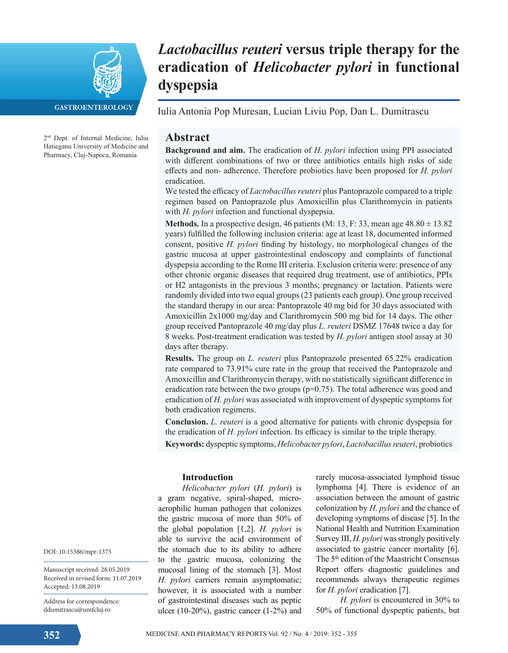

**GASTROENTEROLOGY** 

2nd Dept. of Internal Medicine, Iuliu Hatieganu University of Medicine and Pharmacy, Cluj-Napoca, Romania

# *Lactobacillus reuteri* **versus triple therapy for the eradication of** *Helicobacter pylori* **in functional dyspepsia**

Iulia Antonia Pop Muresan, Lucian Liviu Pop, Dan L. Dumitrascu

# **Abstract**

**Background and aim.** The eradication of *H. pylori* infection using PPI associated with different combinations of two or three antibiotics entails high risks of side effects and non- adherence. Therefore probiotics have been proposed for *H. pylori* eradication.

We tested the efficacy of *Lactobacillus reuteri* plus Pantoprazole compared to a triple regimen based on Pantoprazole plus Amoxicillin plus Clarithromycin in patients with *H. pylori* infection and functional dyspepsia.

**Methods.** In a prospective design, 46 patients (M: 13, F: 33, mean age  $48.80 \pm 13.82$ ) years) fulfilled the following inclusion criteria: age at least 18, documented informed consent, positive *H. pylori* finding by histology, no morphological changes of the gastric mucosa at upper gastrointestinal endoscopy and complaints of functional dyspepsia according to the Rome III criteria. Exclusion criteria were: presence of any other chronic organic diseases that required drug treatment, use of antibiotics, PPIs or H2 antagonists in the previous 3 months; pregnancy or lactation. Patients were randomly divided into two equal groups (23 patients each group). One group received the standard therapy in our area: Pantoprazole 40 mg bid for 30 days associated with Amoxicillin 2x1000 mg/day and Clarithromycin 500 mg bid for 14 days. The other group received Pantoprazole 40 mg/day plus *L. reuteri* DSMZ 17648 twice a day for 8 weeks. Post-treatment eradication was tested by *H. pylori* antigen stool assay at 30 days after therapy.

**Results.** The group on *L. reuteri* plus Pantoprazole presented 65.22% eradication rate compared to 73.91% cure rate in the group that received the Pantoprazole and Amoxicillin and Clarithromycin therapy, with no statistically significant difference in eradication rate between the two groups  $(p=0.75)$ . The total adherence was good and eradication of *H. pylori* was associated with improvement of dyspeptic symptoms for both eradication regimens.

**Conclusion.** *L. reuteri* is a good alternative for patients with chronic dyspepsia for the eradication of *H. pylori* infection. Its efficacy is similar to the triple therapy.

**Keywords:** dyspeptic symptoms, *Helicobacter pylori*, *Lactobacillus reuteri*, probiotics

# **Introduction**

*Helicobacter pylori* (*H. pylori*) is a gram negative, spiral-shaped, microaerophilic human pathogen that colonizes the gastric mucosa of more than 50% of the global population [1,2]. *H. pylori* is able to survive the acid environment of the stomach due to its ability to adhere to the gastric mucosa, colonizing the mucosal lining of the stomach [3]. Most *H. pylori* carriers remain asymptomatic; however, it is associated with a number of gastrointestinal diseases such as peptic ulcer (10-20%), gastric cancer (1-2%) and rarely mucosa-associated lymphoid tissue lymphoma [4]. There is evidence of an association between the amount of gastric colonization by *H. pylori* and the chance of developing symptoms of disease [5]. In the National Health and Nutrition Examination Survey III, *H. pylori* was strongly positively associated to gastric cancer mortality [6]. The 5<sup>th</sup> edition of the Maastricht Consensus Report offers diagnostic guidelines and recommends always therapeutic regimes for *H. pylori* eradication [7].

*H. pylori* is encountered in 30% to 50% of functional dyspeptic patients, but

DOI: 10.15386/mpr-1375

Manuscript received: 28.05.2019 Received in revised form: 11.07.2019 Accepted: 13.08.2019

Address for correspondence: ddumitrascu@umfcluj.ro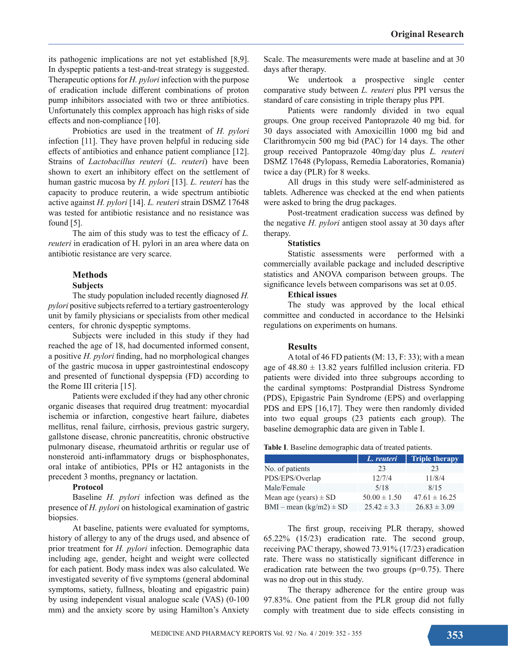its pathogenic implications are not yet established [8,9]. In dyspeptic patients a test-and-treat strategy is suggested. Therapeutic options for *H. pylori* infection with the purpose of eradication include different combinations of proton pump inhibitors associated with two or three antibiotics. Unfortunately this complex approach has high risks of side effects and non-compliance [10].

Probiotics are used in the treatment of *H. pylori* infection [11]. They have proven helpful in reducing side effects of antibiotics and enhance patient compliance [12]. Strains of *Lactobacillus reuteri* (*L. reuteri*) have been shown to exert an inhibitory effect on the settlement of human gastric mucosa by *H. pylori* [13]. *L. reuteri* has the capacity to produce reuterin, a wide spectrum antibiotic active against *H. pylori* [14]. *L. reuteri* strain DSMZ 17648 was tested for antibiotic resistance and no resistance was found [5].

The aim of this study was to test the efficacy of *L. reuteri* in eradication of H. pylori in an area where data on antibiotic resistance are very scarce.

# **Methods**

#### **Subjects**

The study population included recently diagnosed *H. pylori* positive subjects referred to a tertiary gastroenterology unit by family physicians or specialists from other medical centers, for chronic dyspeptic symptoms.

Subjects were included in this study if they had reached the age of 18, had documented informed consent, a positive *H. pylori* finding, had no morphological changes of the gastric mucosa in upper gastrointestinal endoscopy and presented of functional dyspepsia (FD) according to the Rome III criteria [15].

Patients were excluded if they had any other chronic organic diseases that required drug treatment: myocardial ischemia or infarction, congestive heart failure, diabetes mellitus, renal failure, cirrhosis, previous gastric surgery, gallstone disease, chronic pancreatitis, chronic obstructive pulmonary disease, rheumatoid arthritis or regular use of nonsteroid anti-inflammatory drugs or bisphosphonates, oral intake of antibiotics, PPIs or H2 antagonists in the precedent 3 months, pregnancy or lactation.

### **Protocol**

Baseline *H. pylori* infection was defined as the presence of *H. pylori* on histological examination of gastric biopsies.

At baseline, patients were evaluated for symptoms, history of allergy to any of the drugs used, and absence of prior treatment for *H. pylori* infection. Demographic data including age, gender, height and weight were collected for each patient. Body mass index was also calculated. We investigated severity of five symptoms (general abdominal symptoms, satiety, fullness, bloating and epigastric pain) by using independent visual analogue scale (VAS) (0-100 mm) and the anxiety score by using Hamilton's Anxiety

Scale. The measurements were made at baseline and at 30 days after therapy.

We undertook a prospective single center comparative study between *L. reuteri* plus PPI versus the standard of care consisting in triple therapy plus PPI.

Patients were randomly divided in two equal groups. One group received Pantoprazole 40 mg bid. for 30 days associated with Amoxicillin 1000 mg bid and Clarithromycin 500 mg bid (PAC) for 14 days. The other group received Pantoprazole 40mg/day plus *L. reuteri*  DSMZ 17648 (Pylopass, Remedia Laboratories, Romania) twice a day (PLR) for 8 weeks.

All drugs in this study were self-administered as tablets. Adherence was checked at the end when patients were asked to bring the drug packages.

Post-treatment eradication success was defined by the negative *H. pylori* antigen stool assay at 30 days after therapy.

#### **Statistics**

Statistic assessments were performed with a commercially available package and included descriptive statistics and ANOVA comparison between groups. The significance levels between comparisons was set at 0.05.

#### **Ethical issues**

The study was approved by the local ethical committee and conducted in accordance to the Helsinki regulations on experiments on humans.

## **Results**

A total of 46 FD patients (M: 13, F: 33); with a mean age of  $48.80 \pm 13.82$  years fulfilled inclusion criteria. FD patients were divided into three subgroups according to the cardinal symptoms: Postprandial Distress Syndrome (PDS), Epigastric Pain Syndrome (EPS) and overlapping PDS and EPS [16,17]. They were then randomly divided into two equal groups (23 patients each group). The baseline demographic data are given in Table I.

**Table I**. Baseline demographic data of treated patients.

|                             | L. reuteri       | <b>Triple therapy</b> |
|-----------------------------|------------------|-----------------------|
| No. of patients             | 23               | 23                    |
| PDS/EPS/Overlap             | 12/7/4           | 11/8/4                |
| Male/Female                 | 5/18             | 8/15                  |
| Mean age (years) $\pm$ SD   | $50.00 \pm 1.50$ | $47.61 \pm 16.25$     |
| $BMI - mean (kg/m2) \pm SD$ | $25.42 \pm 3.3$  | $26.83 \pm 3.09$      |

The first group, receiving PLR therapy, showed 65.22% (15/23) eradication rate. The second group, receiving PAC therapy, showed 73.91% (17/23) eradication rate. There wass no statistically significant difference in eradication rate between the two groups  $(p=0.75)$ . There was no drop out in this study.

The therapy adherence for the entire group was 97.83%. One patient from the PLR group did not fully comply with treatment due to side effects consisting in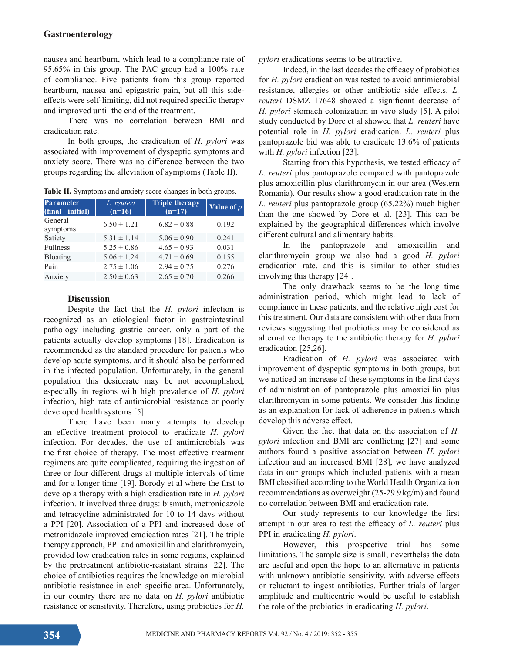nausea and heartburn, which lead to a compliance rate of 95.65% in this group. The PAC group had a 100% rate of compliance. Five patients from this group reported heartburn, nausea and epigastric pain, but all this sideeffects were self-limiting, did not required specific therapy and improved until the end of the treatment.

There was no correlation between BMI and eradication rate.

In both groups, the eradication of *H. pylori* was associated with improvement of dyspeptic symptoms and anxiety score. There was no difference between the two groups regarding the alleviation of symptoms (Table II).

**Table II.** Symptoms and anxiety score changes in both groups.

| <b>Parameter</b><br>(final - initial) | L. reuteri<br>$(n=16)$ | <b>Triple therapy</b><br>$(n=17)$ | Value of $p$ |
|---------------------------------------|------------------------|-----------------------------------|--------------|
| General<br>symptoms                   | $6.50 \pm 1.21$        | $6.82 \pm 0.88$                   | 0.192        |
| Satiety                               | $5.31 \pm 1.14$        | $5.06 \pm 0.90$                   | 0.241        |
| <b>Fullness</b>                       | $5.25 \pm 0.86$        | $4.65 \pm 0.93$                   | 0.031        |
| Bloating                              | $5.06 \pm 1.24$        | $4.71 \pm 0.69$                   | 0.155        |
| Pain                                  | $2.75 \pm 1.06$        | $2.94 \pm 0.75$                   | 0.276        |
| Anxiety                               | $2.50 \pm 0.63$        | $2.65 \pm 0.70$                   | 0.266        |

#### **Discussion**

Despite the fact that the *H. pylori* infection is recognized as an etiological factor in gastrointestinal pathology including gastric cancer, only a part of the patients actually develop symptoms [18]. Eradication is recommended as the standard procedure for patients who develop acute symptoms, and it should also be performed in the infected population. Unfortunately, in the general population this desiderate may be not accomplished, especially in regions with high prevalence of *H. pylori*  infection, high rate of antimicrobial resistance or poorly developed health systems [5].

There have been many attempts to develop an effective treatment protocol to eradicate *H. pylori* infection. For decades, the use of antimicrobials was the first choice of therapy. The most effective treatment regimens are quite complicated, requiring the ingestion of three or four different drugs at multiple intervals of time and for a longer time [19]. Borody et al where the first to develop a therapy with a high eradication rate in *H. pylori* infection. It involved three drugs: bismuth, metronidazole and tetracycline administrated for 10 to 14 days without a PPI [20]. Association of a PPI and increased dose of metronidazole improved eradication rates [21]. The triple therapy approach, PPI and amoxicillin and clarithromycin, provided low eradication rates in some regions, explained by the pretreatment antibiotic-resistant strains [22]. The choice of antibiotics requires the knowledge on microbial antibiotic resistance in each specific area. Unfortunately, in our country there are no data on *H. pylori* antibiotic resistance or sensitivity. Therefore, using probiotics for *H.* 

*pylori* eradications seems to be attractive.

Indeed, in the last decades the efficacy of probiotics for *H. pylori* eradication was tested to avoid antimicrobial resistance, allergies or other antibiotic side effects. *L. reuteri* DSMZ 17648 showed a significant decrease of *H. pylori* stomach colonization in vivo study [5]. A pilot study conducted by Dore et al showed that *L. reuteri* have potential role in *H. pylori* eradication. *L. reuteri* plus pantoprazole bid was able to eradicate 13.6% of patients with *H. pylori* infection [23].

Starting from this hypothesis, we tested efficacy of *L. reuteri* plus pantoprazole compared with pantoprazole plus amoxicillin plus clarithromycin in our area (Western Romania). Our results show a good eradication rate in the *L. reuteri* plus pantoprazole group (65.22%) much higher than the one showed by Dore et al. [23]. This can be explained by the geographical differences which involve different cultural and alimentary habits.

In the pantoprazole and amoxicillin and clarithromycin group we also had a good *H. pylori* eradication rate, and this is similar to other studies involving this therapy [24].

The only drawback seems to be the long time administration period, which might lead to lack of compliance in these patients, and the relative high cost for this treatment. Our data are consistent with other data from reviews suggesting that probiotics may be considered as alternative therapy to the antibiotic therapy for *H. pylori* eradication [25,26].

Eradication of *H. pylori* was associated with improvement of dyspeptic symptoms in both groups, but we noticed an increase of these symptoms in the first days of administration of pantoprazole plus amoxicillin plus clarithromycin in some patients. We consider this finding as an explanation for lack of adherence in patients which develop this adverse effect.

Given the fact that data on the association of *H. pylori* infection and BMI are conflicting [27] and some authors found a positive association between *H. pylori* infection and an increased BMI [28], we have analyzed data in our groups which included patients with a mean BMI classified according to the World Health Organization recommendations as overweight (25-29.9 kg/m) and found no correlation between BMI and eradication rate.

Our study represents to our knowledge the first attempt in our area to test the efficacy of *L. reuteri* plus PPI in eradicating *H. pylori*.

However, this prospective trial has some limitations. The sample size is small, neverthelss the data are useful and open the hope to an alternative in patients with unknown antibiotic sensitivity, with adverse effects or reluctant to ingest antibiotics. Further trials of larger amplitude and multicentric would be useful to establish the role of the probiotics in eradicating *H. pylori*.